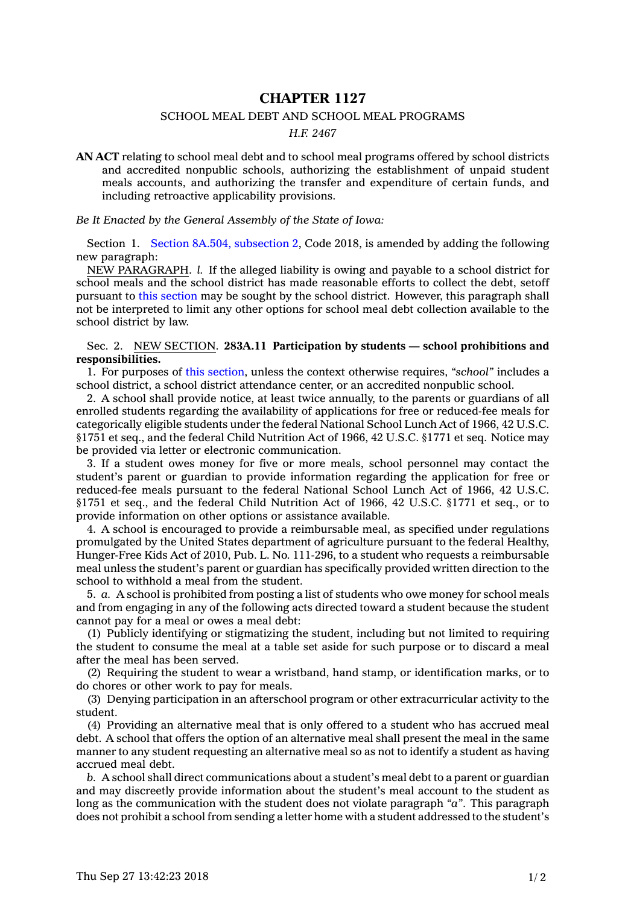## **CHAPTER 1127**

## SCHOOL MEAL DEBT AND SCHOOL MEAL PROGRAMS

## *H.F. 2467*

**AN ACT** relating to school meal debt and to school meal programs offered by school districts and accredited nonpublic schools, authorizing the establishment of unpaid student meals accounts, and authorizing the transfer and expenditure of certain funds, and including retroactive applicability provisions.

*Be It Enacted by the General Assembly of the State of Iowa:*

Section 1. Section 8A.504, [subsection](https://www.legis.iowa.gov/docs/code/2018/8A.504.pdf) 2, Code 2018, is amended by adding the following new paragraph:

NEW PARAGRAPH. *l.* If the alleged liability is owing and payable to <sup>a</sup> school district for school meals and the school district has made reasonable efforts to collect the debt, setoff pursuant to this [section](https://www.legis.iowa.gov/docs/code/2018/8A.504.pdf) may be sought by the school district. However, this paragraph shall not be interpreted to limit any other options for school meal debt collection available to the school district by law.

## Sec. 2. NEW SECTION. **283A.11 Participation by students — school prohibitions and responsibilities.**

1. For purposes of this [section](https://www.legis.iowa.gov/docs/code/2018/283A.11.pdf), unless the context otherwise requires, *"school"* includes <sup>a</sup> school district, <sup>a</sup> school district attendance center, or an accredited nonpublic school.

2. A school shall provide notice, at least twice annually, to the parents or guardians of all enrolled students regarding the availability of applications for free or reduced-fee meals for categorically eligible students under the federal National School Lunch Act of 1966, 42 U.S.C. §1751 et seq., and the federal Child Nutrition Act of 1966, 42 U.S.C. §1771 et seq. Notice may be provided via letter or electronic communication.

3. If <sup>a</sup> student owes money for five or more meals, school personnel may contact the student's parent or guardian to provide information regarding the application for free or reduced-fee meals pursuant to the federal National School Lunch Act of 1966, 42 U.S.C. §1751 et seq., and the federal Child Nutrition Act of 1966, 42 U.S.C. §1771 et seq., or to provide information on other options or assistance available.

4. A school is encouraged to provide <sup>a</sup> reimbursable meal, as specified under regulations promulgated by the United States department of agriculture pursuant to the federal Healthy, Hunger-Free Kids Act of 2010, Pub. L. No. 111-296, to <sup>a</sup> student who requests <sup>a</sup> reimbursable meal unless the student's parent or guardian has specifically provided written direction to the school to withhold <sup>a</sup> meal from the student.

5. *a.* A school is prohibited from posting <sup>a</sup> list of students who owe money for school meals and from engaging in any of the following acts directed toward <sup>a</sup> student because the student cannot pay for <sup>a</sup> meal or owes <sup>a</sup> meal debt:

(1) Publicly identifying or stigmatizing the student, including but not limited to requiring the student to consume the meal at <sup>a</sup> table set aside for such purpose or to discard <sup>a</sup> meal after the meal has been served.

(2) Requiring the student to wear <sup>a</sup> wristband, hand stamp, or identification marks, or to do chores or other work to pay for meals.

(3) Denying participation in an afterschool program or other extracurricular activity to the student.

(4) Providing an alternative meal that is only offered to <sup>a</sup> student who has accrued meal debt. A school that offers the option of an alternative meal shall present the meal in the same manner to any student requesting an alternative meal so as not to identify <sup>a</sup> student as having accrued meal debt.

*b.* A school shall direct communications about <sup>a</sup> student's meal debt to <sup>a</sup> parent or guardian and may discreetly provide information about the student's meal account to the student as long as the communication with the student does not violate paragraph *"a"*. This paragraph does not prohibit <sup>a</sup> school from sending <sup>a</sup> letter home with <sup>a</sup> student addressed to the student's